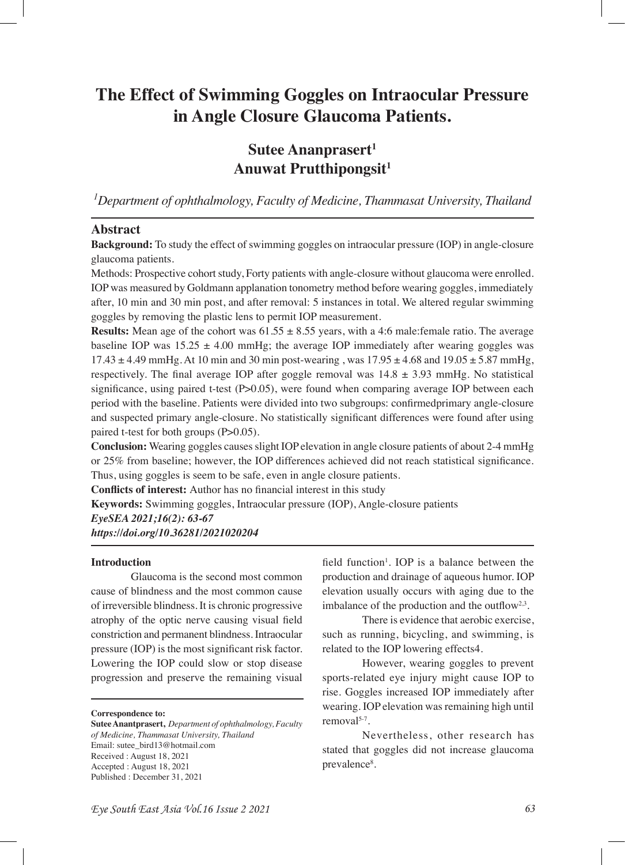# **The Effect of Swimming Goggles on Intraocular Pressure in Angle Closure Glaucoma Patients.**

# **Sutee Ananprasert<sup>1</sup> Anuwat Prutthipongsit<sup>1</sup>**

*1 Department of ophthalmology, Faculty of Medicine, Thammasat University, Thailand*

# **Abstract**

**Background:** To study the effect of swimming goggles on intraocular pressure (IOP) in angle-closure glaucoma patients.

Methods: Prospective cohort study, Forty patients with angle-closure without glaucoma were enrolled. IOP was measured by Goldmann applanation tonometry method before wearing goggles, immediately after, 10 min and 30 min post, and after removal: 5 instances in total. We altered regular swimming goggles by removing the plastic lens to permit IOP measurement.

**Results:** Mean age of the cohort was  $61.55 \pm 8.55$  years, with a 4:6 male: female ratio. The average baseline IOP was  $15.25 \pm 4.00$  mmHg; the average IOP immediately after wearing goggles was  $17.43 \pm 4.49$  mmHg, At 10 min and 30 min post-wearing, was  $17.95 \pm 4.68$  and  $19.05 \pm 5.87$  mmHg, respectively. The final average IOP after goggle removal was  $14.8 \pm 3.93$  mmHg. No statistical significance, using paired t-test (P>0.05), were found when comparing average IOP between each period with the baseline. Patients were divided into two subgroups: confrmedprimary angle-closure and suspected primary angle-closure. No statistically signifcant differences were found after using paired t-test for both groups (P>0.05).

**Conclusion:** Wearing goggles causes slight IOP elevation in angle closure patients of about 2-4 mmHg or 25% from baseline; however, the IOP differences achieved did not reach statistical signifcance. Thus, using goggles is seem to be safe, even in angle closure patients.

**Conficts of interest:** Author has no fnancial interest in this study

**Keywords:** Swimming goggles, Intraocular pressure (IOP), Angle-closure patients

*EyeSEA 2021;16(2): 63-67 https://doi.org/10.36281/2021020204*

#### **Introduction**

Glaucoma is the second most common cause of blindness and the most common cause of irreversible blindness. It is chronic progressive atrophy of the optic nerve causing visual feld constriction and permanent blindness. Intraocular pressure (IOP) is the most signifcant risk factor. Lowering the IOP could slow or stop disease progression and preserve the remaining visual

**Correspondence to:**

**Sutee Anantprasert,** *Department of ophthalmology, Faculty of Medicine, Thammasat University, Thailand* Email: sutee\_bird13@hotmail.com Received : August 18, 2021 Accepted : August 18, 2021 Published : December 31, 2021

field function<sup>1</sup>. IOP is a balance between the production and drainage of aqueous humor. IOP elevation usually occurs with aging due to the imbalance of the production and the outflow $2.3$ .

There is evidence that aerobic exercise, such as running, bicycling, and swimming, is related to the IOP lowering effects4.

However, wearing goggles to prevent sports-related eye injury might cause IOP to rise. Goggles increased IOP immediately after wearing. IOP elevation was remaining high until removal $5-7$ .

Nevertheless, other research has stated that goggles did not increase glaucoma prevalence<sup>8</sup>.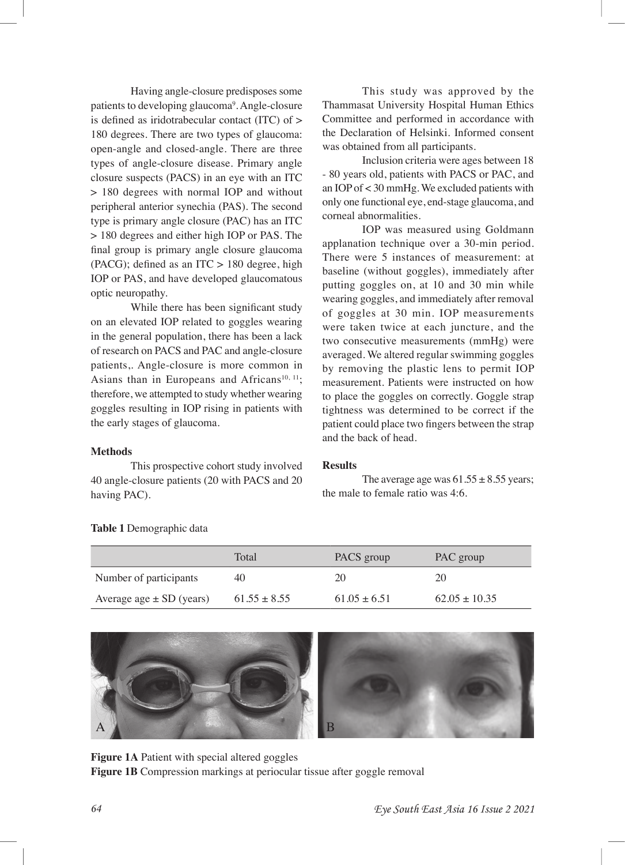Having angle-closure predisposes some patients to developing glaucoma<sup>9</sup>. Angle-closure is defned as iridotrabecular contact (ITC) of > 180 degrees. There are two types of glaucoma: open-angle and closed-angle. There are three types of angle-closure disease. Primary angle closure suspects (PACS) in an eye with an ITC > 180 degrees with normal IOP and without peripheral anterior synechia (PAS). The second type is primary angle closure (PAC) has an ITC > 180 degrees and either high IOP or PAS. The fnal group is primary angle closure glaucoma (PACG); defined as an ITC  $> 180$  degree, high IOP or PAS, and have developed glaucomatous optic neuropathy.

While there has been significant study on an elevated IOP related to goggles wearing in the general population, there has been a lack of research on PACS and PAC and angle-closure patients,. Angle-closure is more common in Asians than in Europeans and Africans<sup>10, 11</sup>; therefore, we attempted to study whether wearing goggles resulting in IOP rising in patients with the early stages of glaucoma.

#### **Methods**

This prospective cohort study involved 40 angle-closure patients (20 with PACS and 20 having PAC).

This study was approved by the Thammasat University Hospital Human Ethics Committee and performed in accordance with the Declaration of Helsinki. Informed consent was obtained from all participants.

Inclusion criteria were ages between 18 - 80 years old, patients with PACS or PAC, and an IOP of < 30 mmHg. We excluded patients with only one functional eye, end-stage glaucoma, and corneal abnormalities.

IOP was measured using Goldmann applanation technique over a 30-min period. There were 5 instances of measurement: at baseline (without goggles), immediately after putting goggles on, at 10 and 30 min while wearing goggles, and immediately after removal of goggles at 30 min. IOP measurements were taken twice at each juncture, and the two consecutive measurements (mmHg) were averaged. We altered regular swimming goggles by removing the plastic lens to permit IOP measurement. Patients were instructed on how to place the goggles on correctly. Goggle strap tightness was determined to be correct if the patient could place two fngers between the strap and the back of head.

#### **Results**

The average age was  $61.55 \pm 8.55$  years; the male to female ratio was 4:6.

|                              | Total            | PACS group       | PAC group         |
|------------------------------|------------------|------------------|-------------------|
| Number of participants       | 40               | 20               | 20                |
| Average age $\pm$ SD (years) | $61.55 \pm 8.55$ | $61.05 \pm 6.51$ | $62.05 \pm 10.35$ |

### **Table 1** Demographic data



**Figure 1A** Patient with special altered goggles **Figure 1B** Compression markings at periocular tissue after goggle removal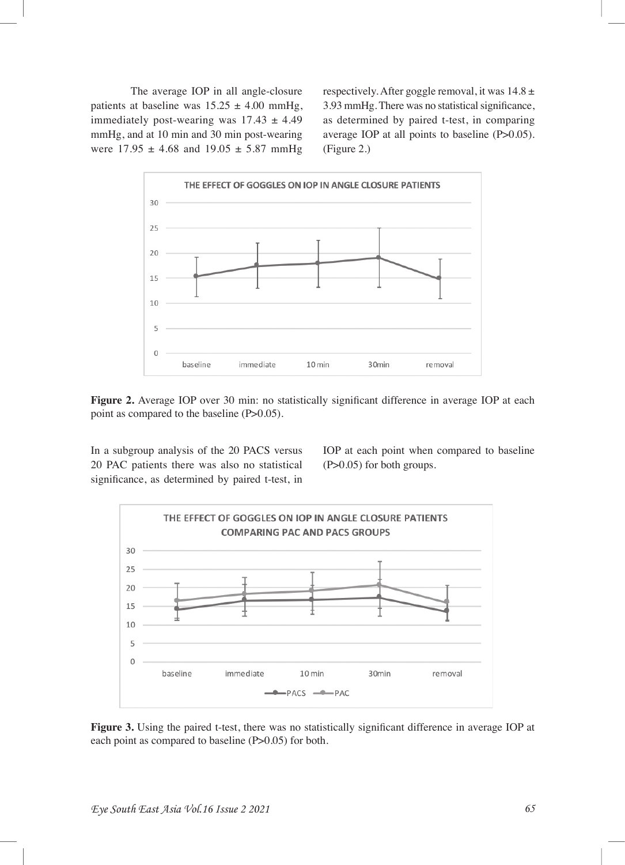The average IOP in all angle-closure patients at baseline was  $15.25 \pm 4.00$  mmHg, immediately post-wearing was  $17.43 \pm 4.49$ mmHg, and at 10 min and 30 min post-wearing were  $17.95 \pm 4.68$  and  $19.05 \pm 5.87$  mmHg respectively. After goggle removal, it was  $14.8 \pm$ 3.93 mmHg. There was no statistical signifcance, as determined by paired t-test, in comparing average IOP at all points to baseline (P>0.05). (Figure 2.)



Figure 2. Average IOP over 30 min: no statistically significant difference in average IOP at each point as compared to the baseline (P>0.05).

In a subgroup analysis of the 20 PACS versus 20 PAC patients there was also no statistical signifcance, as determined by paired t-test, in

IOP at each point when compared to baseline (P>0.05) for both groups.



**Figure 3.** Using the paired t-test, there was no statistically signifcant difference in average IOP at each point as compared to baseline (P>0.05) for both.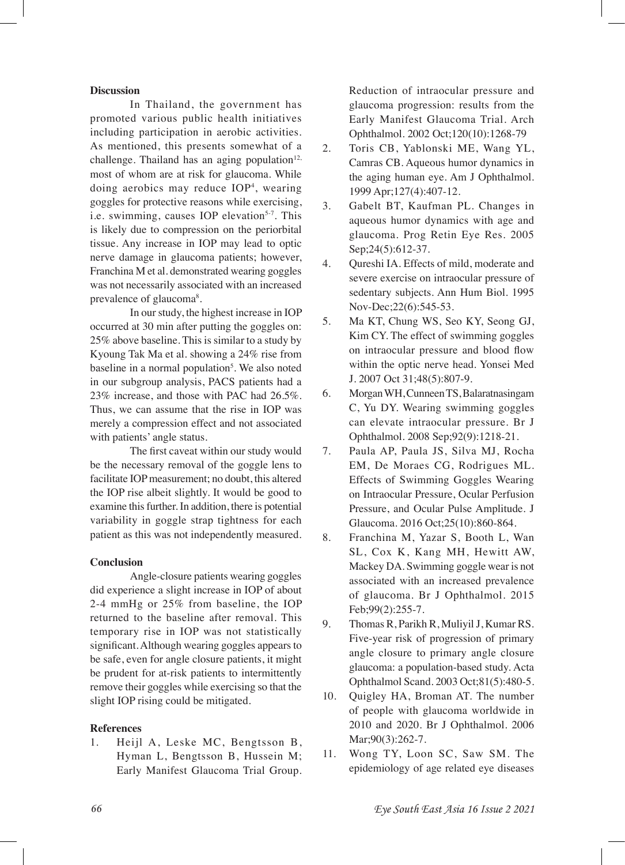#### **Discussion**

In Thailand, the government has promoted various public health initiatives including participation in aerobic activities. As mentioned, this presents somewhat of a challenge. Thailand has an aging population $12$ , most of whom are at risk for glaucoma. While doing aerobics may reduce IOP4 , wearing goggles for protective reasons while exercising, i.e. swimming, causes IOP elevation<sup>5-7</sup>. This is likely due to compression on the periorbital tissue. Any increase in IOP may lead to optic nerve damage in glaucoma patients; however, Franchina M et al. demonstrated wearing goggles was not necessarily associated with an increased prevalence of glaucoma<sup>8</sup>.

In our study, the highest increase in IOP occurred at 30 min after putting the goggles on: 25% above baseline. This is similar to a study by Kyoung Tak Ma et al. showing a 24% rise from baseline in a normal population<sup>5</sup>. We also noted in our subgroup analysis, PACS patients had a 23% increase, and those with PAC had 26.5%. Thus, we can assume that the rise in IOP was merely a compression effect and not associated with patients' angle status.

The frst caveat within our study would be the necessary removal of the goggle lens to facilitate IOP measurement; no doubt, this altered the IOP rise albeit slightly. It would be good to examine this further. In addition, there is potential variability in goggle strap tightness for each patient as this was not independently measured.

#### **Conclusion**

Angle-closure patients wearing goggles did experience a slight increase in IOP of about 2-4 mmHg or 25% from baseline, the IOP returned to the baseline after removal. This temporary rise in IOP was not statistically signifcant. Although wearing goggles appears to be safe, even for angle closure patients, it might be prudent for at-risk patients to intermittently remove their goggles while exercising so that the slight IOP rising could be mitigated.

# **References**

1. Heijl A, Leske MC, Bengtsson B, Hyman L, Bengtsson B, Hussein M; Early Manifest Glaucoma Trial Group. Reduction of intraocular pressure and glaucoma progression: results from the Early Manifest Glaucoma Trial. Arch Ophthalmol. 2002 Oct;120(10):1268-79

- 2. Toris CB, Yablonski ME, Wang YL, Camras CB. Aqueous humor dynamics in the aging human eye. Am J Ophthalmol. 1999 Apr;127(4):407-12.
- 3. Gabelt BT, Kaufman PL. Changes in aqueous humor dynamics with age and glaucoma. Prog Retin Eye Res. 2005 Sep; 24(5): 612-37.
- 4. Qureshi IA. Effects of mild, moderate and severe exercise on intraocular pressure of sedentary subjects. Ann Hum Biol. 1995 Nov-Dec;22(6):545-53.
- 5. Ma KT, Chung WS, Seo KY, Seong GJ, Kim CY. The effect of swimming goggles on intraocular pressure and blood fow within the optic nerve head. Yonsei Med J. 2007 Oct 31;48(5):807-9.
- 6. Morgan WH, Cunneen TS, Balaratnasingam C, Yu DY. Wearing swimming goggles can elevate intraocular pressure. Br J Ophthalmol. 2008 Sep;92(9):1218-21.
- 7. Paula AP, Paula JS, Silva MJ, Rocha EM, De Moraes CG, Rodrigues ML. Effects of Swimming Goggles Wearing on Intraocular Pressure, Ocular Perfusion Pressure, and Ocular Pulse Amplitude. J Glaucoma. 2016 Oct;25(10):860-864.
- 8. Franchina M, Yazar S, Booth L, Wan SL, Cox K, Kang MH, Hewitt AW, Mackey DA. Swimming goggle wear is not associated with an increased prevalence of glaucoma. Br J Ophthalmol. 2015 Feb;99(2):255-7.
- 9. Thomas R, Parikh R, Muliyil J, Kumar RS. Five-year risk of progression of primary angle closure to primary angle closure glaucoma: a population-based study. Acta Ophthalmol Scand. 2003 Oct;81(5):480-5.
- 10. Quigley HA, Broman AT. The number of people with glaucoma worldwide in 2010 and 2020. Br J Ophthalmol. 2006 Mar;90(3):262-7.
- 11. Wong TY, Loon SC, Saw SM. The epidemiology of age related eye diseases